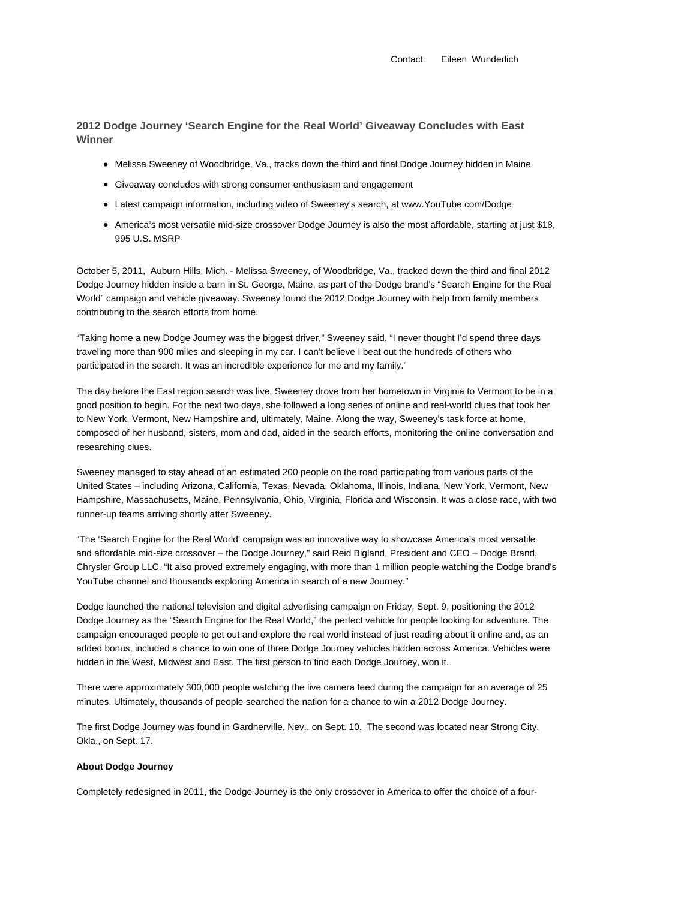Contact: Eileen Wunderlich

**2012 Dodge Journey 'Search Engine for the Real World' Giveaway Concludes with East Winner**

- Melissa Sweeney of Woodbridge, Va., tracks down the third and final Dodge Journey hidden in Maine
- Giveaway concludes with strong consumer enthusiasm and engagement
- Latest campaign information, including video of Sweeney's search, at www.YouTube.com/Dodge
- America's most versatile mid-size crossover Dodge Journey is also the most affordable, starting at just \$18, 995 U.S. MSRP

October 5, 2011, Auburn Hills, Mich. - Melissa Sweeney, of Woodbridge, Va., tracked down the third and final 2012 Dodge Journey hidden inside a barn in St. George, Maine, as part of the Dodge brand's "Search Engine for the Real World" campaign and vehicle giveaway. Sweeney found the 2012 Dodge Journey with help from family members contributing to the search efforts from home.

"Taking home a new Dodge Journey was the biggest driver," Sweeney said. "I never thought I'd spend three days traveling more than 900 miles and sleeping in my car. I can't believe I beat out the hundreds of others who participated in the search. It was an incredible experience for me and my family."

The day before the East region search was live, Sweeney drove from her hometown in Virginia to Vermont to be in a good position to begin. For the next two days, she followed a long series of online and real-world clues that took her to New York, Vermont, New Hampshire and, ultimately, Maine. Along the way, Sweeney's task force at home, composed of her husband, sisters, mom and dad, aided in the search efforts, monitoring the online conversation and researching clues.

Sweeney managed to stay ahead of an estimated 200 people on the road participating from various parts of the United States – including Arizona, California, Texas, Nevada, Oklahoma, Illinois, Indiana, New York, Vermont, New Hampshire, Massachusetts, Maine, Pennsylvania, Ohio, Virginia, Florida and Wisconsin. It was a close race, with two runner-up teams arriving shortly after Sweeney.

"The 'Search Engine for the Real World' campaign was an innovative way to showcase America's most versatile and affordable mid-size crossover – the Dodge Journey," said Reid Bigland, President and CEO – Dodge Brand, Chrysler Group LLC. "It also proved extremely engaging, with more than 1 million people watching the Dodge brand's YouTube channel and thousands exploring America in search of a new Journey."

Dodge launched the national television and digital advertising campaign on Friday, Sept. 9, positioning the 2012 Dodge Journey as the "Search Engine for the Real World," the perfect vehicle for people looking for adventure. The campaign encouraged people to get out and explore the real world instead of just reading about it online and, as an added bonus, included a chance to win one of three Dodge Journey vehicles hidden across America. Vehicles were hidden in the West, Midwest and East. The first person to find each Dodge Journey, won it.

There were approximately 300,000 people watching the live camera feed during the campaign for an average of 25 minutes. Ultimately, thousands of people searched the nation for a chance to win a 2012 Dodge Journey.

The first Dodge Journey was found in Gardnerville, Nev., on Sept. 10. The second was located near Strong City, Okla., on Sept. 17.

## **About Dodge Journey**

Completely redesigned in 2011, the Dodge Journey is the only crossover in America to offer the choice of a four-